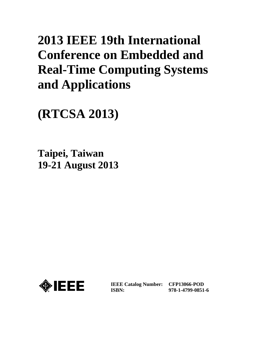# **2013 IEEE 19th International Conference on Embedded and Real-Time Computing Systems and Applications**

**(RTCSA 2013)**

**Taipei, Taiwan 19-21 August 2013**



**IEEE Catalog Number: CFP13066-POD ISBN:** 

**978-1-4799-0851-6**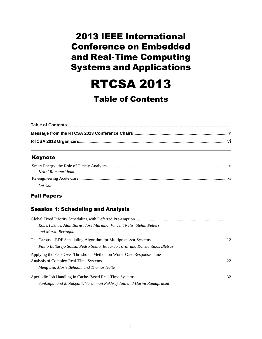# 2013 IEEE International Conference on Embedded and Real-Time Computing Systems and Applications

RTCSA 2013

## Table of Contents

#### Keynote

| Krithi Ramamritham |  |
|--------------------|--|
|                    |  |
| Lui Sha            |  |

#### Full Papers

#### Session 1: Scheduling and Analysis

| Robert Davis, Alan Burns, Jose Marinho, Vincent Nelis, Stefan Petters      |  |
|----------------------------------------------------------------------------|--|
| and Marko Bertogna                                                         |  |
|                                                                            |  |
| Paulo Baltarejo Sousa, Pedro Souto, Eduardo Tovar and Konstantinos Bletsas |  |
| Applying the Peak Over Thresholds Method on Worst-Case Response Time       |  |
|                                                                            |  |
| Meng Liu, Moris Behnam and Thomas Nolte                                    |  |
|                                                                            |  |
| Sankalpanand Motakpalli, Vardhman Pukhraj Jain and Harini Ramaprasad       |  |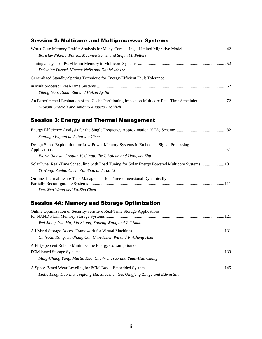#### Session 2: Multicore and Multiprocessor Systems

| Borislav Nikolic, Patrick Meumeu Yomsi and Stefan M. Petters               |  |
|----------------------------------------------------------------------------|--|
| Dakshina Dasari, Vincent Nelis and Daniel Mossé                            |  |
| Generalized Standby-Sparing Technique for Energy-Efficient Fault Tolerance |  |
| Yifeng Guo, Dakai Zhu and Hakan Aydin                                      |  |
| Giovani Gracioli and Antônio Augusto Fröhlich                              |  |
| 9. P.: -  -  J The  - I Mexican    4                                       |  |

#### Session 3: Energy and Thermal Management

| Santiago Pagani and Jian-Jia Chen                                                                                                            |  |
|----------------------------------------------------------------------------------------------------------------------------------------------|--|
| Design Space Exploration for Low-Power Memory Systems in Embedded Signal Processing                                                          |  |
| Florin Balasa, Cristian V. Gingu, Ilie I. Luican and Hongwei Zhu                                                                             |  |
| SolarTune: Real-Time Scheduling with Load Tuning for Solar Energy Powered Multicore Systems101<br>Yi Wang, Renhai Chen, Zili Shao and Tao Li |  |
| On-line Thermal-aware Task Management for Three-dimensional Dynamically                                                                      |  |
| Yen-Wen Wang and Ya-Shu Chen                                                                                                                 |  |

#### Session 4A: Memory and Storage Optimization

| Online Optimization of Security-Sensitive Real-Time Storage Applications    |  |
|-----------------------------------------------------------------------------|--|
|                                                                             |  |
| Wei Jiang, Yue Ma, Xia Zhang, Xupeng Wang and Zili Shao                     |  |
|                                                                             |  |
| Chih-Kai Kang, Yu-Jhang Cai, Chin-Hsien Wu and Pi-Cheng Hsiu                |  |
| A Fifty-percent Rule to Minimize the Energy Consumption of                  |  |
|                                                                             |  |
| Ming-Chang Yang, Martin Kuo, Che-Wei Tsao and Yuan-Hao Chang                |  |
|                                                                             |  |
| Linbo Long, Duo Liu, Jingtong Hu, Shouzhen Gu, Qingfeng Zhuge and Edwin Sha |  |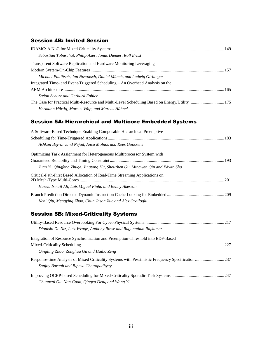#### Session 4B: Invited Session

| Sebastian Tobuschat, Philip Axer, Jonas Diemer, Rolf Ernst                                   |  |
|----------------------------------------------------------------------------------------------|--|
| <b>Transparent Software Replication and Hardware Monitoring Leveraging</b>                   |  |
|                                                                                              |  |
| Michael Paulitsch, Jan Nowotsch, Daniel Münch, and Ludwig Girbinger                          |  |
| Integrated Time- and Event-Triggered Scheduling – An Overhead Analysis on the                |  |
|                                                                                              |  |
| Stefan Schorr and Gerhard Fohler                                                             |  |
| The Case for Practical Multi-Resource and Multi-Level Scheduling Based on Energy/Utility 175 |  |
| Hermann Härtig, Marcus Völp, and Marcus Hähnel                                               |  |

#### Session 5A: Hierarchical and Multicore Embedded Systems

| A Software-Based Technique Enabling Composable Hierarchical Preemptive       |  |
|------------------------------------------------------------------------------|--|
|                                                                              |  |
| Ashkan Beyranvand Nejad, Anca Molnos and Kees Goossens                       |  |
| Optimizing Task Assignment for Heterogeneous Multiprocessor System with      |  |
|                                                                              |  |
| Juan Yi, Qingfeng Zhuge, Jingtong Hu, Shouzhen Gu, Mingwen Qin and Edwin Sha |  |
| Critical-Path-First Based Allocation of Real-Time Streaming Applications on  |  |
|                                                                              |  |
| Hazem Ismail Ali, Luís Miguel Pinho and Benny Akesson                        |  |
|                                                                              |  |
| Keni Oiu, Mengying Zhao, Chun Jason Xue and Alex Orailoglu                   |  |

### Session 5B: Mixed-Criticality Systems

| Dionisio De Niz, Lutz Wrage, Anthony Rowe and Ragunathan Rajkumar               |  |
|---------------------------------------------------------------------------------|--|
| Integration of Resource Synchronization and Preemption-Threshold into EDF-Based |  |
|                                                                                 |  |
| <i><b>Oingling Zhao, Zonghua Gu and Haibo Zeng</b></i>                          |  |
|                                                                                 |  |
| Sanjoy Baruah and Bipasa Chattopadhyay                                          |  |
|                                                                                 |  |
| Chuancai Gu, Nan Guan, Qingxu Deng and Wang Yi                                  |  |